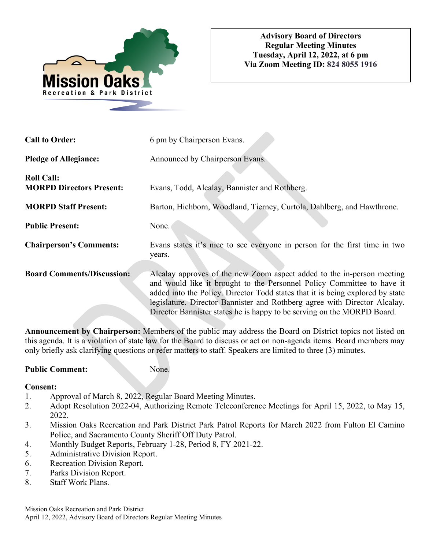

| <b>Call to Order:</b>                                | 6 pm by Chairperson Evans.                                                                                                                                                                                                                                                                                                                                                                 |
|------------------------------------------------------|--------------------------------------------------------------------------------------------------------------------------------------------------------------------------------------------------------------------------------------------------------------------------------------------------------------------------------------------------------------------------------------------|
| <b>Pledge of Allegiance:</b>                         | Announced by Chairperson Evans.                                                                                                                                                                                                                                                                                                                                                            |
| <b>Roll Call:</b><br><b>MORPD Directors Present:</b> | Evans, Todd, Alcalay, Bannister and Rothberg.                                                                                                                                                                                                                                                                                                                                              |
| <b>MORPD Staff Present:</b>                          | Barton, Hichborn, Woodland, Tierney, Curtola, Dahlberg, and Hawthrone.                                                                                                                                                                                                                                                                                                                     |
| <b>Public Present:</b>                               | None.                                                                                                                                                                                                                                                                                                                                                                                      |
| <b>Chairperson's Comments:</b>                       | Evans states it's nice to see everyone in person for the first time in two<br>years.                                                                                                                                                                                                                                                                                                       |
| <b>Board Comments/Discussion:</b>                    | Alcalay approves of the new Zoom aspect added to the in-person meeting<br>and would like it brought to the Personnel Policy Committee to have it<br>added into the Policy. Director Todd states that it is being explored by state<br>legislature. Director Bannister and Rothberg agree with Director Alcalay.<br>Director Bannister states he is happy to be serving on the MORPD Board. |

**Announcement by Chairperson:** Members of the public may address the Board on District topics not listed on this agenda. It is a violation of state law for the Board to discuss or act on non-agenda items. Board members may only briefly ask clarifying questions or refer matters to staff. Speakers are limited to three (3) minutes.

# Public Comment: None.

# **Consent:**

- 1. Approval of March 8, 2022, Regular Board Meeting Minutes.
- 2. Adopt Resolution 2022-04, Authorizing Remote Teleconference Meetings for April 15, 2022, to May 15, 2022.
- 3. Mission Oaks Recreation and Park District Park Patrol Reports for March 2022 from Fulton El Camino Police, and Sacramento County Sheriff Off Duty Patrol.
- 4. Monthly Budget Reports, February 1-28, Period 8, FY 2021-22.
- 5. Administrative Division Report.
- 6. Recreation Division Report.
- 7. Parks Division Report.
- 8. Staff Work Plans.

Mission Oaks Recreation and Park District April 12, 2022, Advisory Board of Directors Regular Meeting Minutes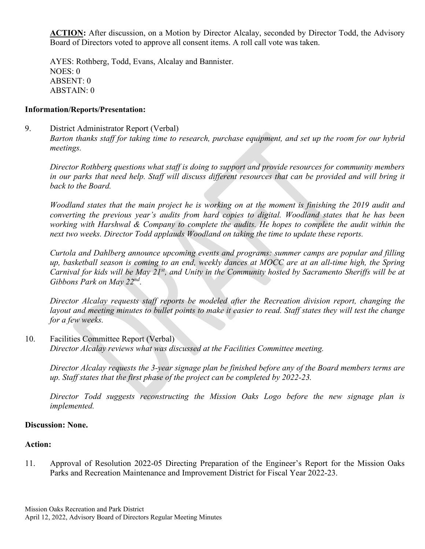**ACTION:** After discussion, on a Motion by Director Alcalay, seconded by Director Todd, the Advisory Board of Directors voted to approve all consent items. A roll call vote was taken.

 AYES: Rothberg, Todd, Evans, Alcalay and Bannister. NOES: 0 ABSENT: 0 ABSTAIN: 0

#### **Information/Reports/Presentation:**

9. District Administrator Report (Verbal) *Barton thanks staff for taking time to research, purchase equipment, and set up the room for our hybrid meetings.* 

*Director Rothberg questions what staff is doing to support and provide resources for community members in our parks that need help. Staff will discuss different resources that can be provided and will bring it back to the Board.* 

*Woodland states that the main project he is working on at the moment is finishing the 2019 audit and converting the previous year's audits from hard copies to digital. Woodland states that he has been working with Harshwal & Company to complete the audits. He hopes to complete the audit within the next two weeks. Director Todd applauds Woodland on taking the time to update these reports.* 

*Curtola and Dahlberg announce upcoming events and programs: summer camps are popular and filling up, basketball season is coming to an end, weekly dances at MOCC are at an all-time high, the Spring Carnival for kids will be May 21st, and Unity in the Community hosted by Sacramento Sheriffs will be at Gibbons Park on May 22nd.* 

*Director Alcalay requests staff reports be modeled after the Recreation division report, changing the layout and meeting minutes to bullet points to make it easier to read. Staff states they will test the change for a few weeks.* 

10. Facilities Committee Report (Verbal) *Director Alcalay reviews what was discussed at the Facilities Committee meeting.*

*Director Alcalay requests the 3-year signage plan be finished before any of the Board members terms are up. Staff states that the first phase of the project can be completed by 2022-23.* 

*Director Todd suggests reconstructing the Mission Oaks Logo before the new signage plan is implemented.*

### **Discussion: None.**

## **Action:**

11. Approval of Resolution 2022-05 Directing Preparation of the Engineer's Report for the Mission Oaks Parks and Recreation Maintenance and Improvement District for Fiscal Year 2022-23.